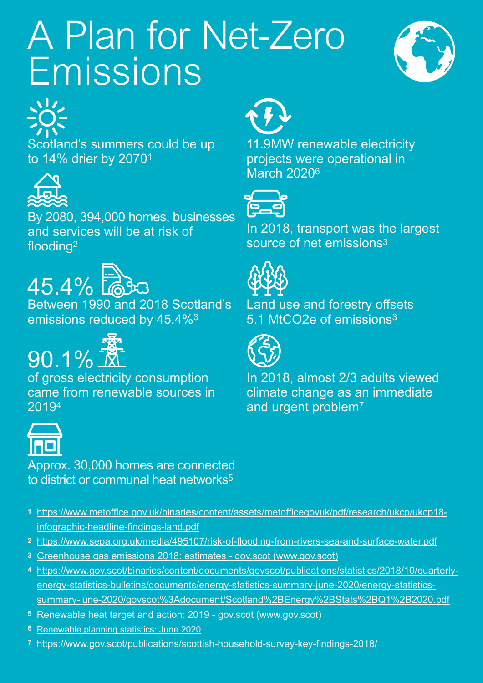## *A Plan for Net-Zero Emissions*





Scotland's summers could be up to 14% drier by 20701



By 2080, 394,000 homes, businesses and services will be at risk of flooding2



Between 1990 and 2018 Scotland's emissions reduced by 45.4%3



of gross electricity consumption came from renewable sources in 20194



Approx. 30,000 homes are connected to district or communal heat networks<sup>5</sup>

- **1** [https://www.metoffice.gov.uk/binaries/content/assets/metofficegovuk/pdf/research/ukcp/ukcp18](https://www.metoffice.gov.uk/binaries/content/assets/metofficegovuk/pdf/research/ukcp/ukcp18-infographic-headline-findings-land.pdf) [infographic-headline-findings-land.pdf](https://www.metoffice.gov.uk/binaries/content/assets/metofficegovuk/pdf/research/ukcp/ukcp18-infographic-headline-findings-land.pdf)
- **2** <https://www.sepa.org.uk/media/495107/risk-of-flooding-from-rivers-sea-and-surface-water.pdf>
- **3** [Greenhouse gas emissions 2018: estimates gov.scot \(www.gov.scot\)](https://www.gov.scot/publications/scottish-greenhouse-gas-emissions-2018/pages/1/)
- **4** [https://www.gov.scot/binaries/content/documents/govscot/publications/statistics/2018/10/quarterly](https://www.gov.scot/binaries/content/documents/govscot/publications/statistics/2018/10/quarterly-energy-statistics-bulletins/documents/energy-statistics-summary-june-2020/energy-statistics-summary-june-2020/govscot%3Adocument/Scotland%2BEnergy%2BStats%2B)[energy-statistics-bulletins/documents/energy-statistics-summary-june-2020/energy-statistics](https://www.gov.scot/binaries/content/documents/govscot/publications/statistics/2018/10/quarterly-energy-statistics-bulletins/documents/energy-statistics-summary-june-2020/energy-statistics-summary-june-2020/govscot%3Adocument/Scotland%2BEnergy%2BStats%2B)[summary-june-2020/govscot%3Adocument/Scotland%2BEnergy%2BStats%2BQ1%2B2020.pdf](https://www.gov.scot/binaries/content/documents/govscot/publications/statistics/2018/10/quarterly-energy-statistics-bulletins/documents/energy-statistics-summary-june-2020/energy-statistics-summary-june-2020/govscot%3Adocument/Scotland%2BEnergy%2BStats%2B)
- **5** [Renewable heat target and action: 2019 gov.scot \(www.gov.scot\)](https://www.gov.scot/publications/update-renewable-heat-target-action-2019/)
- **6** [Renewable planning statistics: June 2020](https://www.gov.scot/binaries/content/documents/govscot/publications/statistics/2019/10/renewable-planning-statistics/documents/renewable-planning-statistics-june-2020/renewable-planning-statistics-june-2020/govscot%3Adocument/June%2B2020.xlsx)
- **7** <https://www.gov.scot/publications/scottish-household-survey-key-findings-2018/>



11.9MW renewable electricity projects were operational in March 20206



In 2018, transport was the largest source of net emissions3



Land use and forestry offsets 5.1 MtCO2e of emissions<sup>3</sup>



In 2018, almost 2/3 adults viewed climate change as an immediate and urgent problem7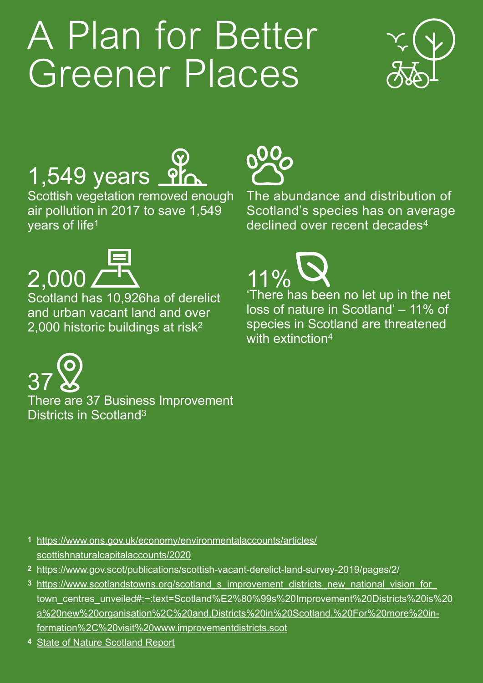### *A Plan for Better Greener Places*



#### 1,549 years **Ph**

Scottish vegetation removed enough air pollution in 2017 to save 1,549 years of life1



 $11\%$ 

with extinction4

The abundance and distribution of Scotland's species has on average declined over recent decades<sup>4</sup>

'There has been no let up in the net loss of nature in Scotland' – 11% of species in Scotland are threatened



Scotland has 10,926ha of derelict and urban vacant land and over 2,000 historic buildings at risk2

There are 37 Business Improvement Districts in Scotland3 37

- **1** [https://www.ons.gov.uk/economy/environmentalaccounts/articles/](https://www.ons.gov.uk/economy/environmentalaccounts/articles/scottishnaturalcapitalaccounts/2020) [scottishnaturalcapitalaccounts/2020](https://www.ons.gov.uk/economy/environmentalaccounts/articles/scottishnaturalcapitalaccounts/2020)
- **2** <https://www.gov.scot/publications/scottish-vacant-derelict-land-survey-2019/pages/2/>
- **3** [https://www.scotlandstowns.org/scotland\\_s\\_improvement\\_districts\\_new\\_national\\_vision\\_for\\_](https://www.scotlandstowns.org/scotland_s_improvement_districts_new_national_vision_for_town_centres_unveiled#:~:text=Scotland%E2%80%99s%20Improvement%20Districts%20is%20a%20new%20organisation%2C%20and,Districts%20in%20Scotland.%20For%20more%20information) [town\\_centres\\_unveiled#:~:text=Scotland%E2%80%99s%20Improvement%20Districts%20is%20](https://www.scotlandstowns.org/scotland_s_improvement_districts_new_national_vision_for_town_centres_unveiled#:~:text=Scotland%E2%80%99s%20Improvement%20Districts%20is%20a%20new%20organisation%2C%20and,Districts%20in%20Scotland.%20For%20more%20information) [a%20new%20organisation%2C%20and,Districts%20in%20Scotland.%20For%20more%20in](https://www.scotlandstowns.org/scotland_s_improvement_districts_new_national_vision_for_town_centres_unveiled#:~:text=Scotland%E2%80%99s%20Improvement%20Districts%20is%20a%20new%20organisation%2C%20and,Districts%20in%20Scotland.%20For%20more%20information)[formation%2C%20visit%20www.improvementdistricts.scot](https://www.scotlandstowns.org/scotland_s_improvement_districts_new_national_vision_for_town_centres_unveiled#:~:text=Scotland%E2%80%99s%20Improvement%20Districts%20is%20a%20new%20organisation%2C%20and,Districts%20in%20Scotland.%20For%20more%20information)
- **4** [State of Nature Scotland Report](https://www.nature.scot/sites/default/files/2019-10/State-of-nature-Report-2019-Scotland-full-report.pdf)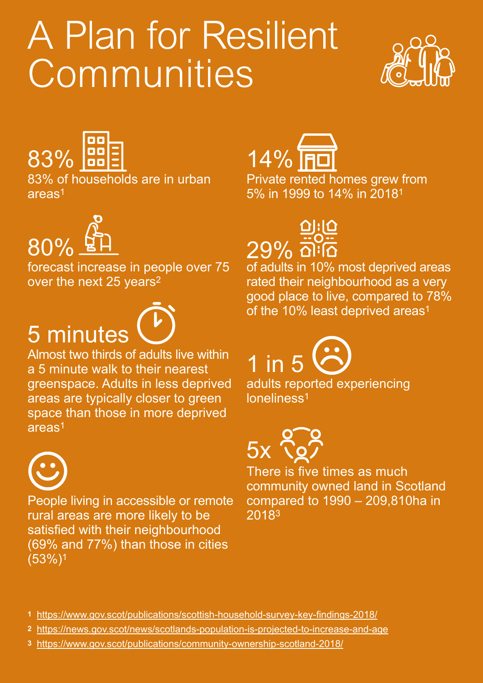# *A Plan for Resilient Communities*





83% of households are in urban areas1



forecast increase in people over 75 over the next 25 years<sup>2</sup>

#### 5 minutes

Almost two thirds of adults live within a 5 minute walk to their nearest greenspace. Adults in less deprived areas are typically closer to green space than those in more deprived areas1



People living in accessible or remote rural areas are more likely to be satisfied with their neighbourhood (69% and 77%) than those in cities (53%)1



Private rented homes grew from 5% in 1999 to 14% in 20181



of adults in 10% most deprived areas rated their neighbourhood as a very good place to live, compared to 78% of the 10% least deprived areas<sup>1</sup>

adults reported experiencing 1 in 5



loneliness1

There is five times as much community owned land in Scotland compared to 1990 – 209,810ha in 20183

- **1** <https://www.gov.scot/publications/scottish-household-survey-key-findings-2018/>
- **2** <https://news.gov.scot/news/scotlands-population-is-projected-to-increase-and-age>
- **3** <https://www.gov.scot/publications/community-ownership-scotland-2018/>